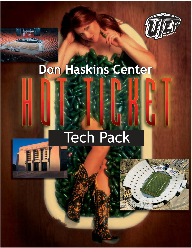

# **Don Haskins Center**

### Tech Pack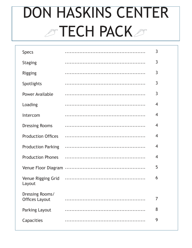## **DON HASKINS CENTER STECH PACKS**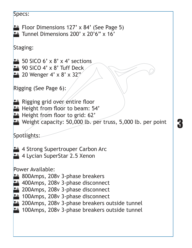```
Specs: 
E Floor Dimensions 127' x 84' (See Page 5)
24 Tunnel Dimensions 200' x 20'6" x 16'
Staging:
24 50 SICO 6' x 8' x 4' sections
24 90 SICO 4' x 8' Tuff Deck
24 20 Wenger 4' x 8' x 32"
Rigging (See Page 6): 
Et Rigging grid over entire floor
E_{\pm} Height from floor to beam: 54'
\mathbb{R}^* Height from floor to grid: 62'
\mathbb{R}^n Weight capacity: 50,000 lb. per truss, 5,000 lb. per point
Spotlights: 
Eth 4 Strong Supertrouper Carbon Arc
2<sup>#</sup> 4 Lycian SuperStar 2.5 Xenon
Power Available: 
\mathbb{R}^* 800Amps, 208v 3-phase breakers
2# 400Amps, 208v 3-phase disconnect
24 200Amps, 208v 3-phase disconnect
24 100Amps, 208v 3-phase disconnect
24 200Amps, 208v 3-phase breakers outside tunnel
E 100Amps, 208v 3-phase breakers outside tunnel
```
3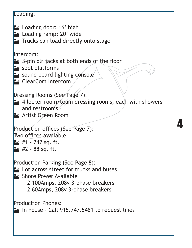#### Loading: **Eth** Loading door: 16' high  $24$  Loading ramp: 20' wide **Et Trucks can load directly onto stage** Intercom:  $24$  3-pin xlr jacks at both ends of the floor  $24$  spot platforms  $24$  sound board lighting console 24 ClearCom Intercom Dressing Rooms (See Page 7):  $24$  4 locker room/team dressing rooms, each with showers and restrooms **24** Artist Green Room Production offices (See Page 7): Two offices available  $24$  #1 - 242 sq. ft.  $24$  #2 - 88 sq. ft. Production Parking (See Page 8):  $24$  Lot across street for trucks and buses **24 Shore Power Available**  2 100Amps, 208v 3-phase breakers 2 60Amps, 208v 3-phase breakers Production Phones:  $\mathbb{R}^*$  In house - Call 915.747.5481 to request lines

4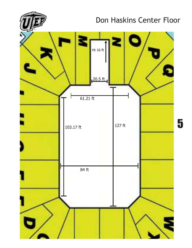

#### Don Haskins Center Floor



5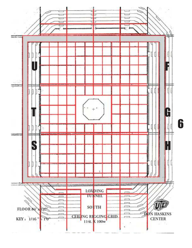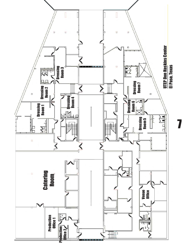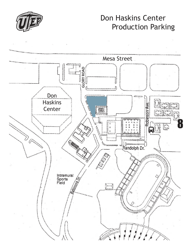

#### Don Haskins Center Production Parking

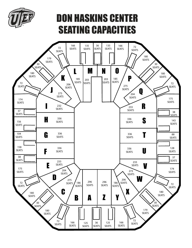

### DON HASKINS CENTER SEATING CAPACITIES

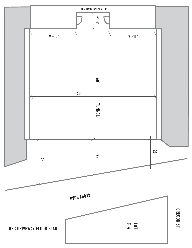